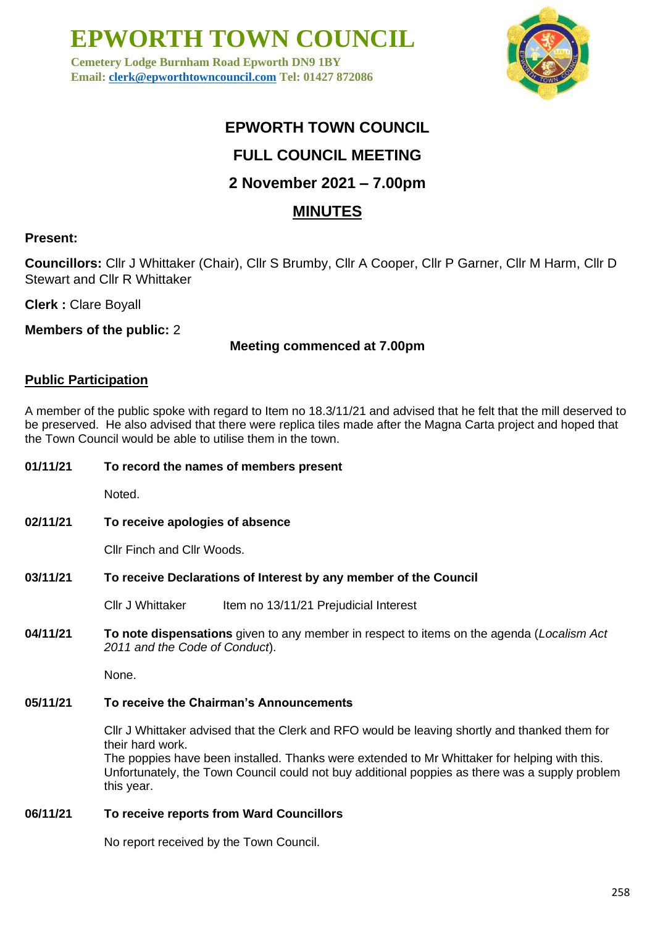**Cemetery Lodge Burnham Road Epworth DN9 1BY Email: [clerk@epworthtowncouncil.com](mailto:clerk@epworthtowncouncil.com) Tel: 01427 872086**



### **EPWORTH TOWN COUNCIL**

### **FULL COUNCIL MEETING**

### **2 November 2021 – 7.00pm**

### **MINUTES**

#### **Present:**

**Councillors:** Cllr J Whittaker (Chair), Cllr S Brumby, Cllr A Cooper, Cllr P Garner, Cllr M Harm, Cllr D Stewart and Cllr R Whittaker

**Clerk :** Clare Boyall

**Members of the public:** 2

#### **Meeting commenced at 7.00pm**

#### **Public Participation**

A member of the public spoke with regard to Item no 18.3/11/21 and advised that he felt that the mill deserved to be preserved. He also advised that there were replica tiles made after the Magna Carta project and hoped that the Town Council would be able to utilise them in the town.

#### **01/11/21 To record the names of members present**

Noted.

**02/11/21 To receive apologies of absence**

Cllr Finch and Cllr Woods.

#### **03/11/21 To receive Declarations of Interest by any member of the Council**

Cllr J Whittaker Item no 13/11/21 Prejudicial Interest

**04/11/21 To note dispensations** given to any member in respect to items on the agenda (*Localism Act 2011 and the Code of Conduct*).

None.

#### **05/11/21 To receive the Chairman's Announcements**

Cllr J Whittaker advised that the Clerk and RFO would be leaving shortly and thanked them for their hard work.

The poppies have been installed. Thanks were extended to Mr Whittaker for helping with this. Unfortunately, the Town Council could not buy additional poppies as there was a supply problem this year.

### **06/11/21 To receive reports from Ward Councillors**

No report received by the Town Council.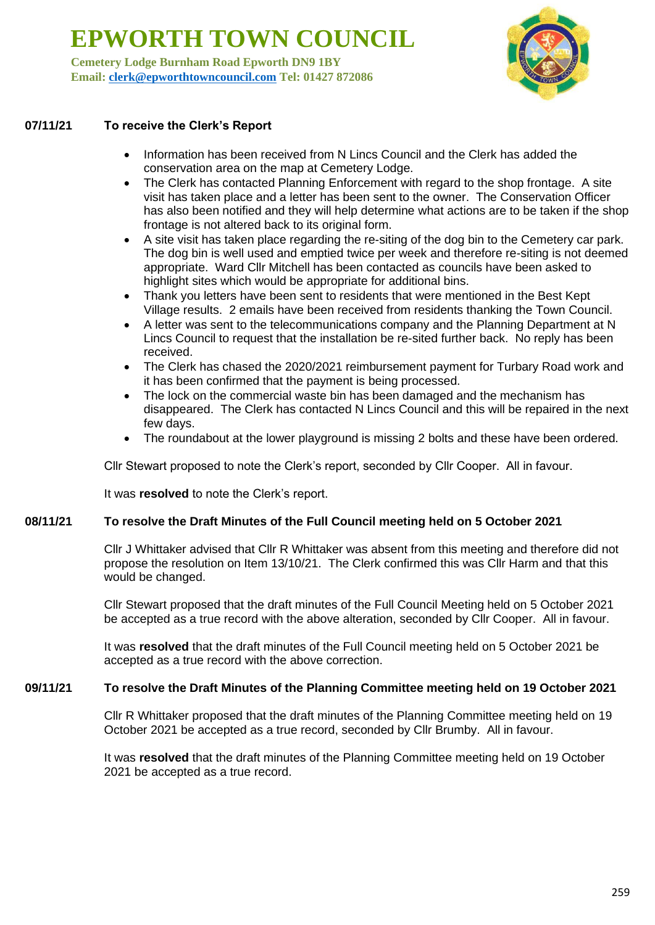**Cemetery Lodge Burnham Road Epworth DN9 1BY Email: [clerk@epworthtowncouncil.com](mailto:clerk@epworthtowncouncil.com) Tel: 01427 872086**



#### **07/11/21 To receive the Clerk's Report**

- Information has been received from N Lincs Council and the Clerk has added the conservation area on the map at Cemetery Lodge.
- The Clerk has contacted Planning Enforcement with regard to the shop frontage. A site visit has taken place and a letter has been sent to the owner. The Conservation Officer has also been notified and they will help determine what actions are to be taken if the shop frontage is not altered back to its original form.
- A site visit has taken place regarding the re-siting of the dog bin to the Cemetery car park. The dog bin is well used and emptied twice per week and therefore re-siting is not deemed appropriate. Ward Cllr Mitchell has been contacted as councils have been asked to highlight sites which would be appropriate for additional bins.
- Thank you letters have been sent to residents that were mentioned in the Best Kept Village results. 2 emails have been received from residents thanking the Town Council.
- A letter was sent to the telecommunications company and the Planning Department at N Lincs Council to request that the installation be re-sited further back. No reply has been received.
- The Clerk has chased the 2020/2021 reimbursement payment for Turbary Road work and it has been confirmed that the payment is being processed.
- The lock on the commercial waste bin has been damaged and the mechanism has disappeared. The Clerk has contacted N Lincs Council and this will be repaired in the next few days.
- The roundabout at the lower playground is missing 2 bolts and these have been ordered.

Cllr Stewart proposed to note the Clerk's report, seconded by Cllr Cooper. All in favour.

It was **resolved** to note the Clerk's report.

#### **08/11/21 To resolve the Draft Minutes of the Full Council meeting held on 5 October 2021**

Cllr J Whittaker advised that Cllr R Whittaker was absent from this meeting and therefore did not propose the resolution on Item 13/10/21. The Clerk confirmed this was Cllr Harm and that this would be changed.

Cllr Stewart proposed that the draft minutes of the Full Council Meeting held on 5 October 2021 be accepted as a true record with the above alteration, seconded by Cllr Cooper. All in favour.

It was **resolved** that the draft minutes of the Full Council meeting held on 5 October 2021 be accepted as a true record with the above correction.

#### **09/11/21 To resolve the Draft Minutes of the Planning Committee meeting held on 19 October 2021**

Cllr R Whittaker proposed that the draft minutes of the Planning Committee meeting held on 19 October 2021 be accepted as a true record, seconded by Cllr Brumby. All in favour.

It was **resolved** that the draft minutes of the Planning Committee meeting held on 19 October 2021 be accepted as a true record.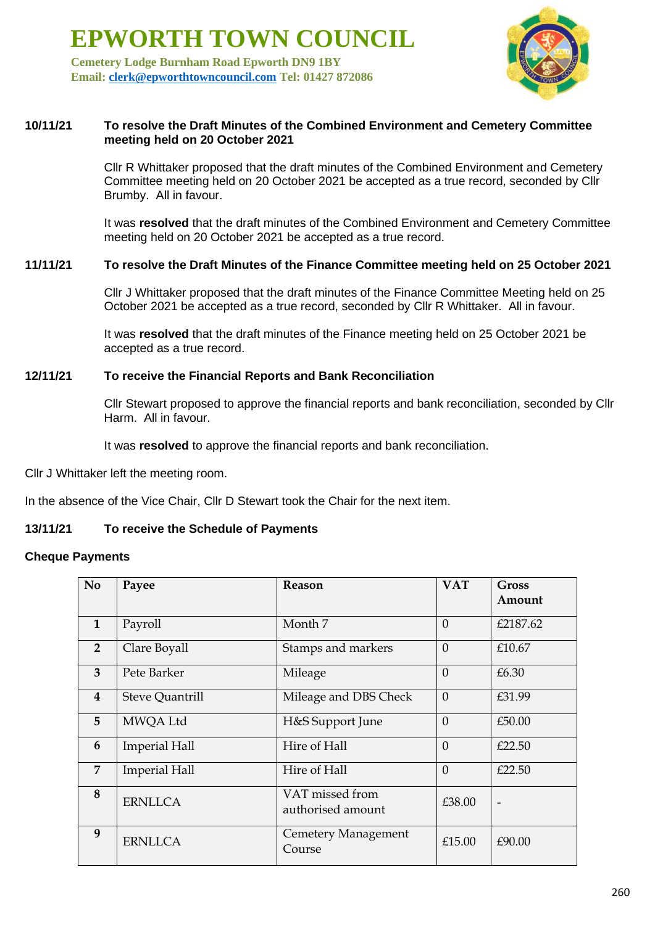**Cemetery Lodge Burnham Road Epworth DN9 1BY Email: [clerk@epworthtowncouncil.com](mailto:clerk@epworthtowncouncil.com) Tel: 01427 872086**



#### **10/11/21 To resolve the Draft Minutes of the Combined Environment and Cemetery Committee meeting held on 20 October 2021**

Cllr R Whittaker proposed that the draft minutes of the Combined Environment and Cemetery Committee meeting held on 20 October 2021 be accepted as a true record, seconded by Cllr Brumby. All in favour.

It was **resolved** that the draft minutes of the Combined Environment and Cemetery Committee meeting held on 20 October 2021 be accepted as a true record.

#### **11/11/21 To resolve the Draft Minutes of the Finance Committee meeting held on 25 October 2021**

Cllr J Whittaker proposed that the draft minutes of the Finance Committee Meeting held on 25 October 2021 be accepted as a true record, seconded by Cllr R Whittaker. All in favour.

It was **resolved** that the draft minutes of the Finance meeting held on 25 October 2021 be accepted as a true record.

#### **12/11/21 To receive the Financial Reports and Bank Reconciliation**

Cllr Stewart proposed to approve the financial reports and bank reconciliation, seconded by Cllr Harm. All in favour.

It was **resolved** to approve the financial reports and bank reconciliation.

Cllr J Whittaker left the meeting room.

In the absence of the Vice Chair, Cllr D Stewart took the Chair for the next item.

#### **13/11/21 To receive the Schedule of Payments**

#### **Cheque Payments**

| N <sub>o</sub>          | Payee                  | <b>Reason</b>                        | <b>VAT</b> | Gross<br>Amount |
|-------------------------|------------------------|--------------------------------------|------------|-----------------|
| $\mathbf{1}$            | Payroll                | Month 7                              | $\Omega$   | £2187.62        |
| $\overline{2}$          | Clare Boyall           | Stamps and markers                   | $\theta$   | £10.67          |
| 3                       | Pete Barker            | Mileage                              | $\Omega$   | £6.30           |
| $\overline{\mathbf{4}}$ | <b>Steve Quantrill</b> | Mileage and DBS Check                | $\theta$   | £31.99          |
| 5                       | MWQA Ltd               | H&S Support June                     | $\theta$   | £50.00          |
| 6                       | <b>Imperial Hall</b>   | Hire of Hall                         | $\Omega$   | £22.50          |
| 7                       | <b>Imperial Hall</b>   | Hire of Hall                         | $\Omega$   | £22.50          |
| 8                       | <b>ERNLLCA</b>         | VAT missed from<br>authorised amount | £38.00     |                 |
| 9                       | <b>ERNLLCA</b>         | Cemetery Management<br>Course        | £15.00     | £90.00          |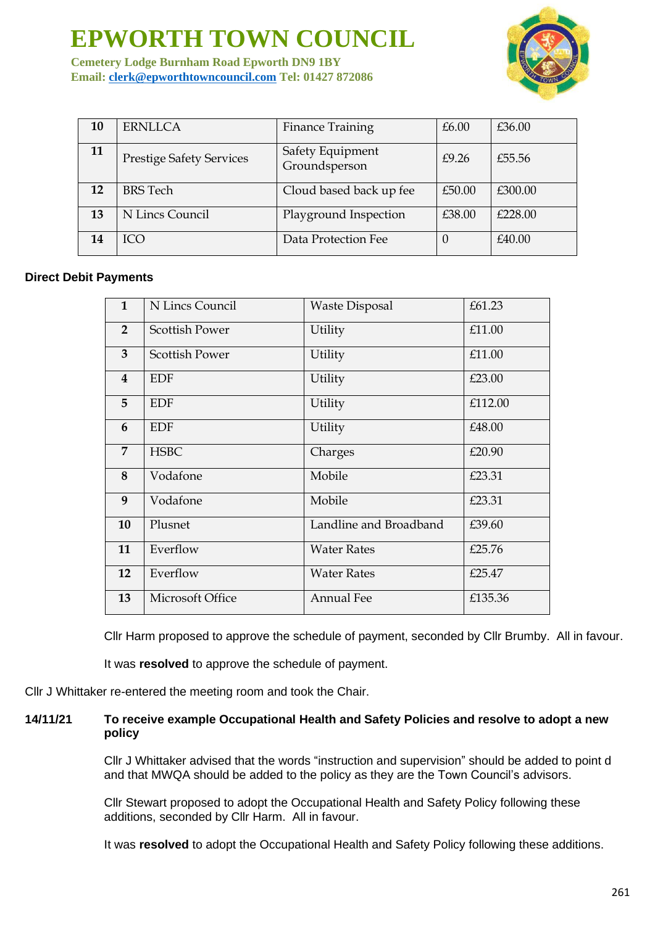**Cemetery Lodge Burnham Road Epworth DN9 1BY Email: [clerk@epworthtowncouncil.com](mailto:clerk@epworthtowncouncil.com) Tel: 01427 872086**



| 10 | <b>ERNLLCA</b>                  | <b>Finance Training</b>           | £6.00  | £36.00  |
|----|---------------------------------|-----------------------------------|--------|---------|
| 11 | <b>Prestige Safety Services</b> | Safety Equipment<br>Groundsperson | £9.26  | £55.56  |
| 12 | <b>BRS</b> Tech                 | Cloud based back up fee           | £50.00 | £300.00 |
| 13 | N Lincs Council                 | Playground Inspection             | £38.00 | £228.00 |
| 14 | ICO                             | Data Protection Fee               |        | £40.00  |

#### **Direct Debit Payments**

| $\mathbf{1}$            | N Lincs Council       | <b>Waste Disposal</b>  | £61.23  |
|-------------------------|-----------------------|------------------------|---------|
| $\overline{2}$          | <b>Scottish Power</b> | Utility                | £11.00  |
| 3                       | <b>Scottish Power</b> | Utility                | £11.00  |
| $\overline{\mathbf{4}}$ | <b>EDF</b>            | Utility                | £23.00  |
| 5                       | <b>EDF</b>            | Utility                | £112.00 |
| 6                       | <b>EDF</b>            | Utility                | £48.00  |
| $\overline{7}$          | <b>HSBC</b>           | Charges                | £20.90  |
| 8                       | Vodafone              | Mobile                 | £23.31  |
| 9                       | Vodafone              | Mobile                 | £23.31  |
| 10                      | Plusnet               | Landline and Broadband | £39.60  |
| 11                      | Everflow              | <b>Water Rates</b>     | £25.76  |
| 12                      | Everflow              | <b>Water Rates</b>     | £25.47  |
| 13                      | Microsoft Office      | <b>Annual Fee</b>      | £135.36 |

Cllr Harm proposed to approve the schedule of payment, seconded by Cllr Brumby. All in favour.

It was **resolved** to approve the schedule of payment.

Cllr J Whittaker re-entered the meeting room and took the Chair.

#### **14/11/21 To receive example Occupational Health and Safety Policies and resolve to adopt a new policy**

Cllr J Whittaker advised that the words "instruction and supervision" should be added to point d and that MWQA should be added to the policy as they are the Town Council's advisors.

Cllr Stewart proposed to adopt the Occupational Health and Safety Policy following these additions, seconded by Cllr Harm. All in favour.

It was **resolved** to adopt the Occupational Health and Safety Policy following these additions.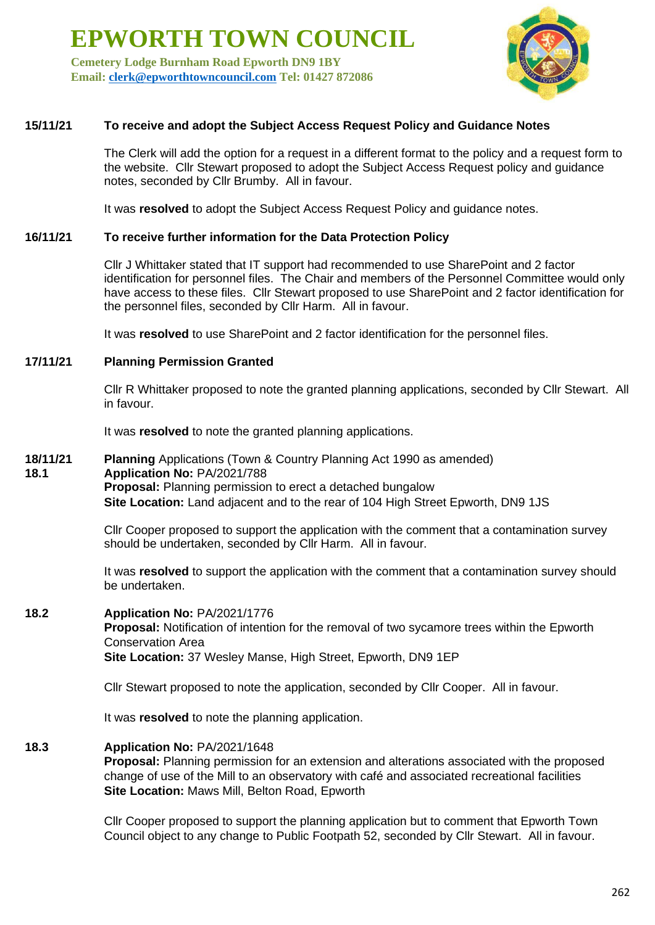**Cemetery Lodge Burnham Road Epworth DN9 1BY Email: [clerk@epworthtowncouncil.com](mailto:clerk@epworthtowncouncil.com) Tel: 01427 872086**



#### **15/11/21 To receive and adopt the Subject Access Request Policy and Guidance Notes**

The Clerk will add the option for a request in a different format to the policy and a request form to the website. Cllr Stewart proposed to adopt the Subject Access Request policy and guidance notes, seconded by Cllr Brumby. All in favour.

It was **resolved** to adopt the Subject Access Request Policy and guidance notes.

#### **16/11/21 To receive further information for the Data Protection Policy**

Cllr J Whittaker stated that IT support had recommended to use SharePoint and 2 factor identification for personnel files. The Chair and members of the Personnel Committee would only have access to these files. Cllr Stewart proposed to use SharePoint and 2 factor identification for the personnel files, seconded by Cllr Harm. All in favour.

It was **resolved** to use SharePoint and 2 factor identification for the personnel files.

#### **17/11/21 Planning Permission Granted**

Cllr R Whittaker proposed to note the granted planning applications, seconded by Cllr Stewart. All in favour.

It was **resolved** to note the granted planning applications.

**18/11/21 Planning** Applications (Town & Country Planning Act 1990 as amended) **18.1 Application No:** PA/2021/788 **Proposal:** Planning permission to erect a detached bungalow **Site Location:** Land adjacent and to the rear of 104 High Street Epworth, DN9 1JS

> Cllr Cooper proposed to support the application with the comment that a contamination survey should be undertaken, seconded by Cllr Harm. All in favour.

It was **resolved** to support the application with the comment that a contamination survey should be undertaken.

## **18.2 Application No:** PA/2021/1776

**Proposal:** Notification of intention for the removal of two sycamore trees within the Epworth Conservation Area **Site Location:** 37 Wesley Manse, High Street, Epworth, DN9 1EP

Cllr Stewart proposed to note the application, seconded by Cllr Cooper. All in favour.

It was **resolved** to note the planning application.

#### **18.3 Application No:** PA/2021/1648

**Proposal:** Planning permission for an extension and alterations associated with the proposed change of use of the Mill to an observatory with café and associated recreational facilities **Site Location:** Maws Mill, Belton Road, Epworth

Cllr Cooper proposed to support the planning application but to comment that Epworth Town Council object to any change to Public Footpath 52, seconded by Cllr Stewart. All in favour.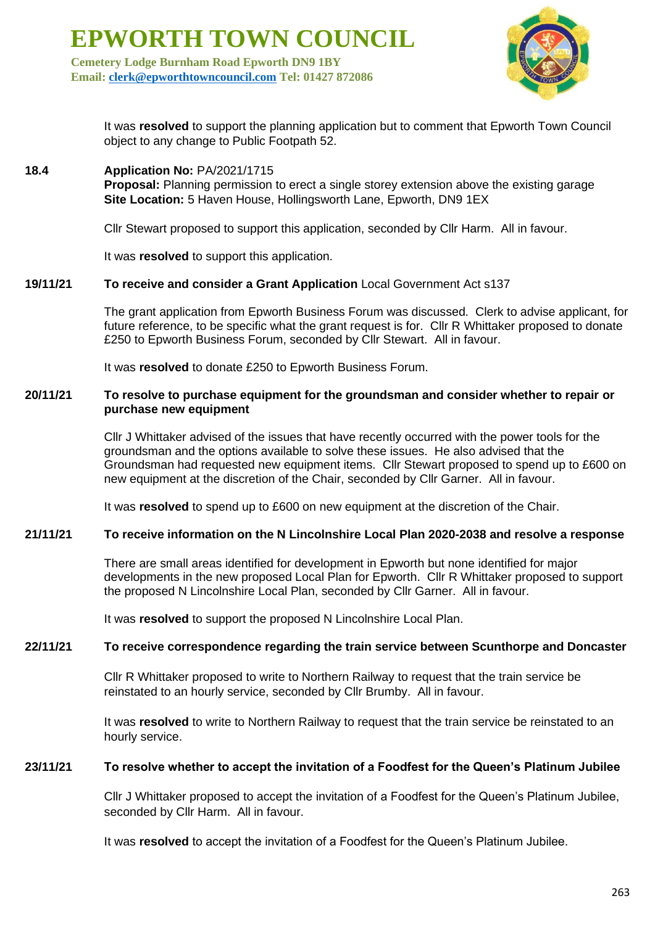**Cemetery Lodge Burnham Road Epworth DN9 1BY Email: [clerk@epworthtowncouncil.com](mailto:clerk@epworthtowncouncil.com) Tel: 01427 872086**



It was **resolved** to support the planning application but to comment that Epworth Town Council object to any change to Public Footpath 52.

#### **18.4 Application No:** PA/2021/1715

**Proposal:** Planning permission to erect a single storey extension above the existing garage **Site Location:** 5 Haven House, Hollingsworth Lane, Epworth, DN9 1EX

Cllr Stewart proposed to support this application, seconded by Cllr Harm. All in favour.

It was **resolved** to support this application.

#### **19/11/21 To receive and consider a Grant Application** Local Government Act s137

The grant application from Epworth Business Forum was discussed. Clerk to advise applicant, for future reference, to be specific what the grant request is for. Cllr R Whittaker proposed to donate £250 to Epworth Business Forum, seconded by Cllr Stewart. All in favour.

It was **resolved** to donate £250 to Epworth Business Forum.

#### **20/11/21 To resolve to purchase equipment for the groundsman and consider whether to repair or purchase new equipment**

Cllr J Whittaker advised of the issues that have recently occurred with the power tools for the groundsman and the options available to solve these issues. He also advised that the Groundsman had requested new equipment items. Cllr Stewart proposed to spend up to £600 on new equipment at the discretion of the Chair, seconded by Cllr Garner. All in favour.

It was **resolved** to spend up to £600 on new equipment at the discretion of the Chair.

#### **21/11/21 To receive information on the N Lincolnshire Local Plan 2020-2038 and resolve a response**

There are small areas identified for development in Epworth but none identified for major developments in the new proposed Local Plan for Epworth. Cllr R Whittaker proposed to support the proposed N Lincolnshire Local Plan, seconded by Cllr Garner. All in favour.

It was **resolved** to support the proposed N Lincolnshire Local Plan.

#### **22/11/21 To receive correspondence regarding the train service between Scunthorpe and Doncaster**

Cllr R Whittaker proposed to write to Northern Railway to request that the train service be reinstated to an hourly service, seconded by Cllr Brumby. All in favour.

It was **resolved** to write to Northern Railway to request that the train service be reinstated to an hourly service.

#### **23/11/21 To resolve whether to accept the invitation of a Foodfest for the Queen's Platinum Jubilee**

Cllr J Whittaker proposed to accept the invitation of a Foodfest for the Queen's Platinum Jubilee, seconded by Cllr Harm. All in favour.

It was **resolved** to accept the invitation of a Foodfest for the Queen's Platinum Jubilee.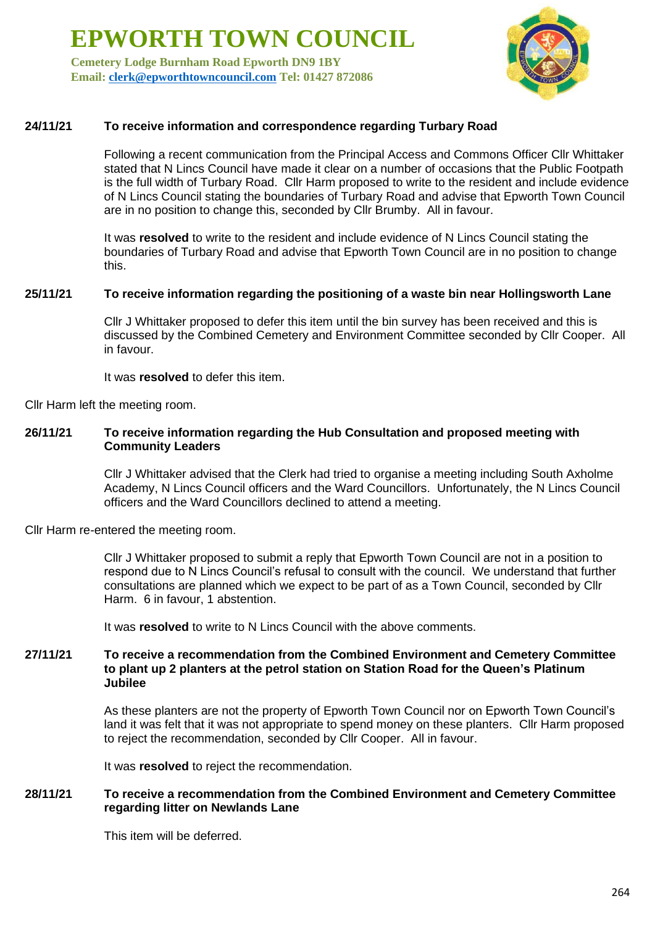**Cemetery Lodge Burnham Road Epworth DN9 1BY Email: [clerk@epworthtowncouncil.com](mailto:clerk@epworthtowncouncil.com) Tel: 01427 872086**



#### **24/11/21 To receive information and correspondence regarding Turbary Road**

Following a recent communication from the Principal Access and Commons Officer Cllr Whittaker stated that N Lincs Council have made it clear on a number of occasions that the Public Footpath is the full width of Turbary Road. Cllr Harm proposed to write to the resident and include evidence of N Lincs Council stating the boundaries of Turbary Road and advise that Epworth Town Council are in no position to change this, seconded by Cllr Brumby. All in favour.

It was **resolved** to write to the resident and include evidence of N Lincs Council stating the boundaries of Turbary Road and advise that Epworth Town Council are in no position to change this.

#### **25/11/21 To receive information regarding the positioning of a waste bin near Hollingsworth Lane**

Cllr J Whittaker proposed to defer this item until the bin survey has been received and this is discussed by the Combined Cemetery and Environment Committee seconded by Cllr Cooper. All in favour.

It was **resolved** to defer this item.

Cllr Harm left the meeting room.

#### **26/11/21 To receive information regarding the Hub Consultation and proposed meeting with Community Leaders**

Cllr J Whittaker advised that the Clerk had tried to organise a meeting including South Axholme Academy, N Lincs Council officers and the Ward Councillors. Unfortunately, the N Lincs Council officers and the Ward Councillors declined to attend a meeting.

Cllr Harm re-entered the meeting room.

Cllr J Whittaker proposed to submit a reply that Epworth Town Council are not in a position to respond due to N Lincs Council's refusal to consult with the council. We understand that further consultations are planned which we expect to be part of as a Town Council, seconded by Cllr Harm. 6 in favour, 1 abstention.

It was **resolved** to write to N Lincs Council with the above comments.

#### **27/11/21 To receive a recommendation from the Combined Environment and Cemetery Committee to plant up 2 planters at the petrol station on Station Road for the Queen's Platinum Jubilee**

As these planters are not the property of Epworth Town Council nor on Epworth Town Council's land it was felt that it was not appropriate to spend money on these planters. Cllr Harm proposed to reject the recommendation, seconded by Cllr Cooper. All in favour.

It was **resolved** to reject the recommendation.

#### **28/11/21 To receive a recommendation from the Combined Environment and Cemetery Committee regarding litter on Newlands Lane**

This item will be deferred.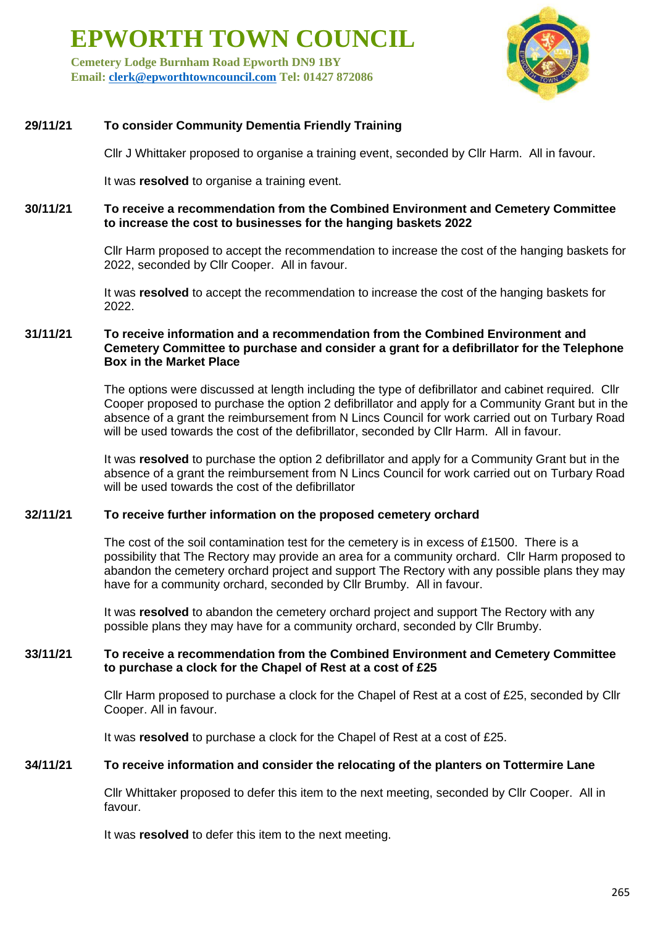**Cemetery Lodge Burnham Road Epworth DN9 1BY Email: [clerk@epworthtowncouncil.com](mailto:clerk@epworthtowncouncil.com) Tel: 01427 872086**



#### **29/11/21 To consider Community Dementia Friendly Training**

Cllr J Whittaker proposed to organise a training event, seconded by Cllr Harm. All in favour.

It was **resolved** to organise a training event.

**30/11/21 To receive a recommendation from the Combined Environment and Cemetery Committee to increase the cost to businesses for the hanging baskets 2022**

> Cllr Harm proposed to accept the recommendation to increase the cost of the hanging baskets for 2022, seconded by Cllr Cooper. All in favour.

It was **resolved** to accept the recommendation to increase the cost of the hanging baskets for 2022.

#### **31/11/21 To receive information and a recommendation from the Combined Environment and Cemetery Committee to purchase and consider a grant for a defibrillator for the Telephone Box in the Market Place**

The options were discussed at length including the type of defibrillator and cabinet required. Cllr Cooper proposed to purchase the option 2 defibrillator and apply for a Community Grant but in the absence of a grant the reimbursement from N Lincs Council for work carried out on Turbary Road will be used towards the cost of the defibrillator, seconded by Cllr Harm. All in favour.

It was **resolved** to purchase the option 2 defibrillator and apply for a Community Grant but in the absence of a grant the reimbursement from N Lincs Council for work carried out on Turbary Road will be used towards the cost of the defibrillator

#### **32/11/21 To receive further information on the proposed cemetery orchard**

The cost of the soil contamination test for the cemetery is in excess of £1500. There is a possibility that The Rectory may provide an area for a community orchard. Cllr Harm proposed to abandon the cemetery orchard project and support The Rectory with any possible plans they may have for a community orchard, seconded by Cllr Brumby. All in favour.

It was **resolved** to abandon the cemetery orchard project and support The Rectory with any possible plans they may have for a community orchard, seconded by Cllr Brumby.

#### **33/11/21 To receive a recommendation from the Combined Environment and Cemetery Committee to purchase a clock for the Chapel of Rest at a cost of £25**

Cllr Harm proposed to purchase a clock for the Chapel of Rest at a cost of £25, seconded by Cllr Cooper. All in favour.

It was **resolved** to purchase a clock for the Chapel of Rest at a cost of £25.

#### **34/11/21 To receive information and consider the relocating of the planters on Tottermire Lane**

Cllr Whittaker proposed to defer this item to the next meeting, seconded by Cllr Cooper. All in favour.

It was **resolved** to defer this item to the next meeting.